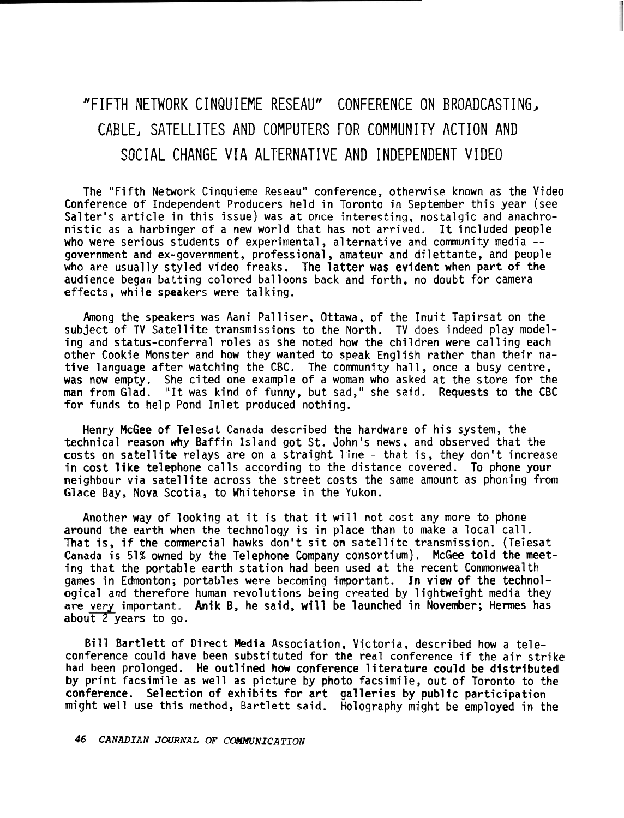## "FIFTH NETWORK CINQUIEME RESEAU" CONFERENCE ON BROADCASTING, CABLE, SATELLITES AND COMPUTERS FOR COMMUNITY ACTION AND SOCIAL CHANGE VIA ALTERNATIVE AND INDEPENDENT VIDEO

The "Fifth Network Cinquieme Reseau" conference, otherwise known as the Video Conference of Independent Producers held in Toronto in September this year (see Salter's article in this issue) was at once interesting, nostalgic and anachronistic as a harbinger of a new world that has not arrived. It included people who were serious students of experimental, alternative and community media -government and ex-government, professional, amateur and dilettante, and people who are usually styled video freaks. The latter was evident when part of the audience began batting colored balloons back and forth, no doubt for camera effects, while speakers were talking.

Among the speakers was Aani Palliser, Ottawa, of the Inuit Tapirsat on the subject of TV Satellite transmissions to the North. TV does indeed play modeling and status-conferral roles as she noted how the children were calling each other Cookie Monster and how they wanted to speak English rather than their native language after watching the CBC. The comnunity hall, once a busy centre, was now empty. She cited one example of a woman who asked at the store for the man from Glad. "It was kind of funny, but sad," she said. Requests to the CBC for funds to help Pond Inlet produced nothing.

Henry McGee of Telesat Canada described the hardware of his system, the technical reason why Baffin Island got St. John's news, and observed that the costs on satellite relays are on a straight line - that is, they don't increase in cost **like** telephone calls according to the distance covered. To phone your neighbour via satellite across the street costs the same amount as phoning from Glace Bay, Nova Scotia, to Whitehorse in the Yukon.

Another way of looking at it is that it will not cost any more to phone around the earth when the technology is in place than to make a local call. That is, if the commercial hawks don't sit on satellite transmission. (Telesat Canada is 51% owned by the Telephone Company consortium). McGee told the meeting that the portable earth station had been used at the recent Commonwealth games in Edmonton; portables were becoming important. In view of the technological and therefore human revolutions being created by lightweight media they are very important. Anik B, he said, will be launched in November; Hermes has about 2 years to go.

Bill Bartlett of Direct Media Association, Victoria, described how a teleconference could have been substituted for the real conference if the air strike had been prolonged. He outlined how conference literature could be distributed by print facsimile as well as picture by photo facsimile, out of Toronto to the conference. Selection of exhibits for art galleries by public participation might well use this method, Bartlett said. Holography might be employed in the